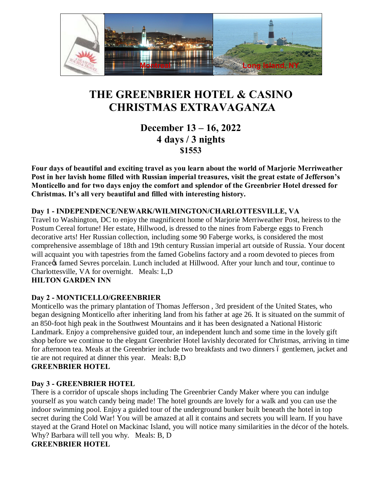

# **THE GREENBRIER HOTEL & CASINO CHRISTMAS EXTRAVAGANZA**

**December 13 – 16, 2022 4 days / 3 nights \$1553**

**Four days of beautiful and exciting travel as you learn about the world of Marjorie Merriweather Post in her lavish home filled with Russian imperial treasures, visit the great estate of Jefferson's Monticello and for two days enjoy the comfort and splendor of the Greenbrier Hotel dressed for Christmas. It's all very beautiful and filled with interesting history.** 

## **Day 1 - INDEPENDENCE/NEWARK/WILMINGTON/CHARLOTTESVILLE, VA**

Travel to Washington, DC to enjoy the magnificent home of Marjorie Merriweather Post, heiress to the Postum Cereal fortune! Her estate, Hillwood, is dressed to the nines from Faberge eggs to French decorative arts! Her Russian collection, including some 90 Faberge works, is considered the most comprehensive assemblage of 18th and 19th century Russian imperial art outside of Russia. Your docent will acquaint you with tapestries from the famed Gobelins factory and a room devoted to pieces from France of famed Sevres porcelain. Lunch included at Hillwood. After your lunch and tour, continue to Charlottesville, VA for overnight. Meals: L,D **HILTON GARDEN INN** 

## **Day 2 - MONTICELLO/GREENBRIER**

Monticello was the primary plantation of Thomas Jefferson , 3rd president of the United States, who began designing Monticello after inheriting land from his father at age 26. It is situated on the summit of an 850-foot high peak in the Southwest Mountains and it has been designated a National Historic Landmark. Enjoy a comprehensive guided tour, an independent lunch and some time in the lovely gift shop before we continue to the elegant Greenbrier Hotel lavishly decorated for Christmas, arriving in time for afternoon tea. Meals at the Greenbrier include two breakfasts and two dinners 6 gentlemen, jacket and tie are not required at dinner this year. Meals: B,D

## **GREENBRIER HOTEL**

## **Day 3 - GREENBRIER HOTEL**

There is a corridor of upscale shops including The Greenbrier Candy Maker where you can indulge yourself as you watch candy being made! The hotel grounds are lovely for a walk and you can use the indoor swimming pool. Enjoy a guided tour of the underground bunker built beneath the hotel in top secret during the Cold War! You will be amazed at all it contains and secrets you will learn. If you have stayed at the Grand Hotel on Mackinac Island, you will notice many similarities in the décor of the hotels. Why? Barbara will tell you why. Meals: B, D **GREENBRIER HOTEL**